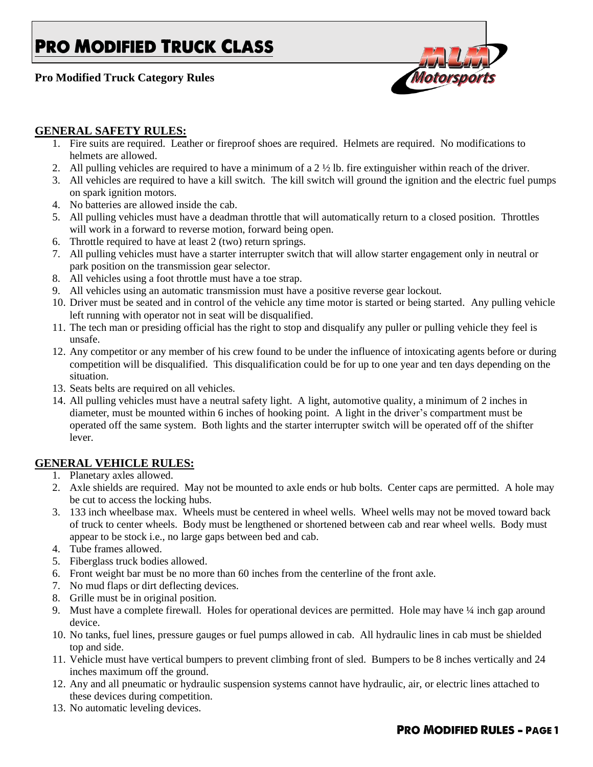# **PRO MODIFIED TRUCK CLASS**

**Pro Modified Truck Category Rules**



### **GENERAL SAFETY RULES:**

- 1. Fire suits are required. Leather or fireproof shoes are required. Helmets are required. No modifications to helmets are allowed.
- 2. All pulling vehicles are required to have a minimum of a  $2 \frac{1}{2}$  lb. fire extinguisher within reach of the driver.
- 3. All vehicles are required to have a kill switch. The kill switch will ground the ignition and the electric fuel pumps on spark ignition motors.
- 4. No batteries are allowed inside the cab.
- 5. All pulling vehicles must have a deadman throttle that will automatically return to a closed position. Throttles will work in a forward to reverse motion, forward being open.
- 6. Throttle required to have at least 2 (two) return springs.
- 7. All pulling vehicles must have a starter interrupter switch that will allow starter engagement only in neutral or park position on the transmission gear selector.
- 8. All vehicles using a foot throttle must have a toe strap.
- 9. All vehicles using an automatic transmission must have a positive reverse gear lockout.
- 10. Driver must be seated and in control of the vehicle any time motor is started or being started. Any pulling vehicle left running with operator not in seat will be disqualified.
- 11. The tech man or presiding official has the right to stop and disqualify any puller or pulling vehicle they feel is unsafe.
- 12. Any competitor or any member of his crew found to be under the influence of intoxicating agents before or during competition will be disqualified. This disqualification could be for up to one year and ten days depending on the situation.
- 13. Seats belts are required on all vehicles.
- 14. All pulling vehicles must have a neutral safety light. A light, automotive quality, a minimum of 2 inches in diameter, must be mounted within 6 inches of hooking point. A light in the driver's compartment must be operated off the same system. Both lights and the starter interrupter switch will be operated off of the shifter lever.

#### **GENERAL VEHICLE RULES:**

- 1. Planetary axles allowed.
- 2. Axle shields are required. May not be mounted to axle ends or hub bolts. Center caps are permitted. A hole may be cut to access the locking hubs.
- 3. 133 inch wheelbase max. Wheels must be centered in wheel wells. Wheel wells may not be moved toward back of truck to center wheels. Body must be lengthened or shortened between cab and rear wheel wells. Body must appear to be stock i.e., no large gaps between bed and cab.
- 4. Tube frames allowed.
- 5. Fiberglass truck bodies allowed.
- 6. Front weight bar must be no more than 60 inches from the centerline of the front axle.
- 7. No mud flaps or dirt deflecting devices.
- 8. Grille must be in original position.
- 9. Must have a complete firewall. Holes for operational devices are permitted. Hole may have ¼ inch gap around device.
- 10. No tanks, fuel lines, pressure gauges or fuel pumps allowed in cab. All hydraulic lines in cab must be shielded top and side.
- 11. Vehicle must have vertical bumpers to prevent climbing front of sled. Bumpers to be 8 inches vertically and 24 inches maximum off the ground.
- 12. Any and all pneumatic or hydraulic suspension systems cannot have hydraulic, air, or electric lines attached to these devices during competition.
- 13. No automatic leveling devices.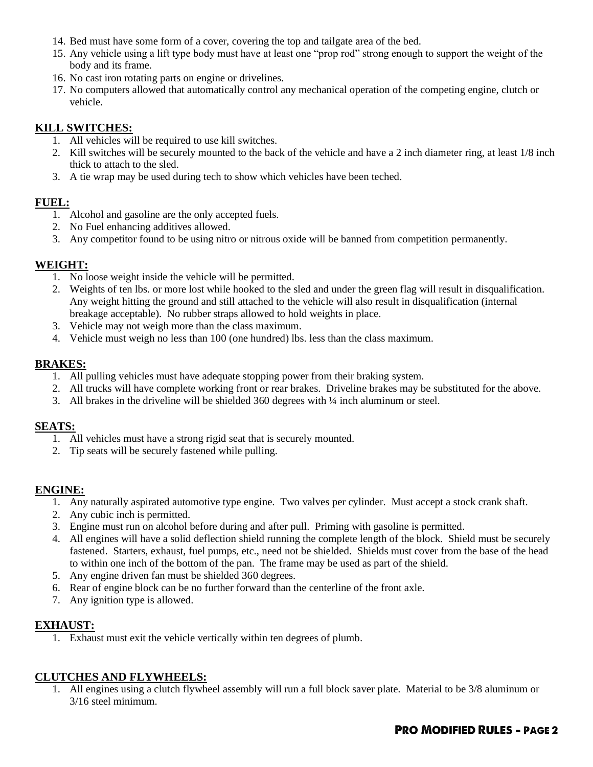- 14. Bed must have some form of a cover, covering the top and tailgate area of the bed.
- 15. Any vehicle using a lift type body must have at least one "prop rod" strong enough to support the weight of the body and its frame.
- 16. No cast iron rotating parts on engine or drivelines.
- 17. No computers allowed that automatically control any mechanical operation of the competing engine, clutch or vehicle.

## **KILL SWITCHES:**

- 1. All vehicles will be required to use kill switches.
- 2. Kill switches will be securely mounted to the back of the vehicle and have a 2 inch diameter ring, at least 1/8 inch thick to attach to the sled.
- 3. A tie wrap may be used during tech to show which vehicles have been teched.

## **FUEL:**

- 1. Alcohol and gasoline are the only accepted fuels.
- 2. No Fuel enhancing additives allowed.
- 3. Any competitor found to be using nitro or nitrous oxide will be banned from competition permanently.

#### **WEIGHT:**

- 1. No loose weight inside the vehicle will be permitted.
- 2. Weights of ten lbs. or more lost while hooked to the sled and under the green flag will result in disqualification. Any weight hitting the ground and still attached to the vehicle will also result in disqualification (internal breakage acceptable). No rubber straps allowed to hold weights in place.
- 3. Vehicle may not weigh more than the class maximum.
- 4. Vehicle must weigh no less than 100 (one hundred) lbs. less than the class maximum.

#### **BRAKES:**

- 1. All pulling vehicles must have adequate stopping power from their braking system.
- 2. All trucks will have complete working front or rear brakes. Driveline brakes may be substituted for the above.
- 3. All brakes in the driveline will be shielded  $360$  degrees with  $\frac{1}{4}$  inch aluminum or steel.

#### **SEATS:**

- 1. All vehicles must have a strong rigid seat that is securely mounted.
- 2. Tip seats will be securely fastened while pulling.

#### **ENGINE:**

- 1. Any naturally aspirated automotive type engine. Two valves per cylinder. Must accept a stock crank shaft.
- 2. Any cubic inch is permitted.
- 3. Engine must run on alcohol before during and after pull. Priming with gasoline is permitted.
- 4. All engines will have a solid deflection shield running the complete length of the block. Shield must be securely fastened. Starters, exhaust, fuel pumps, etc., need not be shielded. Shields must cover from the base of the head to within one inch of the bottom of the pan. The frame may be used as part of the shield.
- 5. Any engine driven fan must be shielded 360 degrees.
- 6. Rear of engine block can be no further forward than the centerline of the front axle.
- 7. Any ignition type is allowed.

#### **EXHAUST:**

1. Exhaust must exit the vehicle vertically within ten degrees of plumb.

## **CLUTCHES AND FLYWHEELS:**

1. All engines using a clutch flywheel assembly will run a full block saver plate. Material to be 3/8 aluminum or 3/16 steel minimum.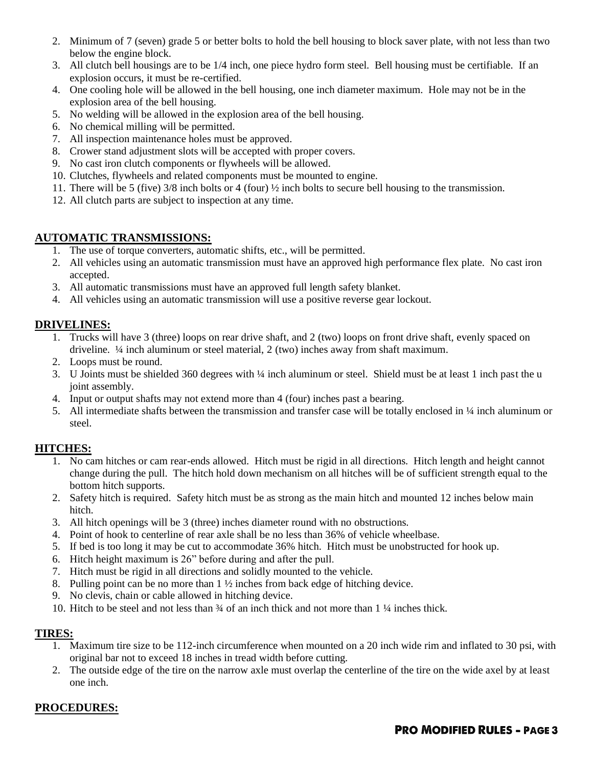- 2. Minimum of 7 (seven) grade 5 or better bolts to hold the bell housing to block saver plate, with not less than two below the engine block.
- 3. All clutch bell housings are to be 1/4 inch, one piece hydro form steel. Bell housing must be certifiable. If an explosion occurs, it must be re-certified.
- 4. One cooling hole will be allowed in the bell housing, one inch diameter maximum. Hole may not be in the explosion area of the bell housing.
- 5. No welding will be allowed in the explosion area of the bell housing.
- 6. No chemical milling will be permitted.
- 7. All inspection maintenance holes must be approved.
- 8. Crower stand adjustment slots will be accepted with proper covers.
- 9. No cast iron clutch components or flywheels will be allowed.
- 10. Clutches, flywheels and related components must be mounted to engine.
- 11. There will be 5 (five) 3/8 inch bolts or 4 (four) ½ inch bolts to secure bell housing to the transmission.
- 12. All clutch parts are subject to inspection at any time.

# **AUTOMATIC TRANSMISSIONS:**

- 1. The use of torque converters, automatic shifts, etc., will be permitted.
- 2. All vehicles using an automatic transmission must have an approved high performance flex plate. No cast iron accepted.
- 3. All automatic transmissions must have an approved full length safety blanket.
- 4. All vehicles using an automatic transmission will use a positive reverse gear lockout.

# **DRIVELINES:**

- 1. Trucks will have 3 (three) loops on rear drive shaft, and 2 (two) loops on front drive shaft, evenly spaced on driveline. ¼ inch aluminum or steel material, 2 (two) inches away from shaft maximum.
- 2. Loops must be round.
- 3. U Joints must be shielded 360 degrees with ¼ inch aluminum or steel. Shield must be at least 1 inch past the u joint assembly.
- 4. Input or output shafts may not extend more than 4 (four) inches past a bearing.
- 5. All intermediate shafts between the transmission and transfer case will be totally enclosed in ¼ inch aluminum or steel.

## **HITCHES:**

- 1. No cam hitches or cam rear-ends allowed. Hitch must be rigid in all directions. Hitch length and height cannot change during the pull. The hitch hold down mechanism on all hitches will be of sufficient strength equal to the bottom hitch supports.
- 2. Safety hitch is required. Safety hitch must be as strong as the main hitch and mounted 12 inches below main hitch.
- 3. All hitch openings will be 3 (three) inches diameter round with no obstructions.
- 4. Point of hook to centerline of rear axle shall be no less than 36% of vehicle wheelbase.
- 5. If bed is too long it may be cut to accommodate 36% hitch. Hitch must be unobstructed for hook up.
- 6. Hitch height maximum is 26" before during and after the pull.
- 7. Hitch must be rigid in all directions and solidly mounted to the vehicle.
- 8. Pulling point can be no more than 1 ½ inches from back edge of hitching device.
- 9. No clevis, chain or cable allowed in hitching device.
- 10. Hitch to be steel and not less than ¾ of an inch thick and not more than 1 ¼ inches thick.

#### **TIRES:**

- 1. Maximum tire size to be 112-inch circumference when mounted on a 20 inch wide rim and inflated to 30 psi, with original bar not to exceed 18 inches in tread width before cutting.
- 2. The outside edge of the tire on the narrow axle must overlap the centerline of the tire on the wide axel by at least one inch.

# **PROCEDURES:**